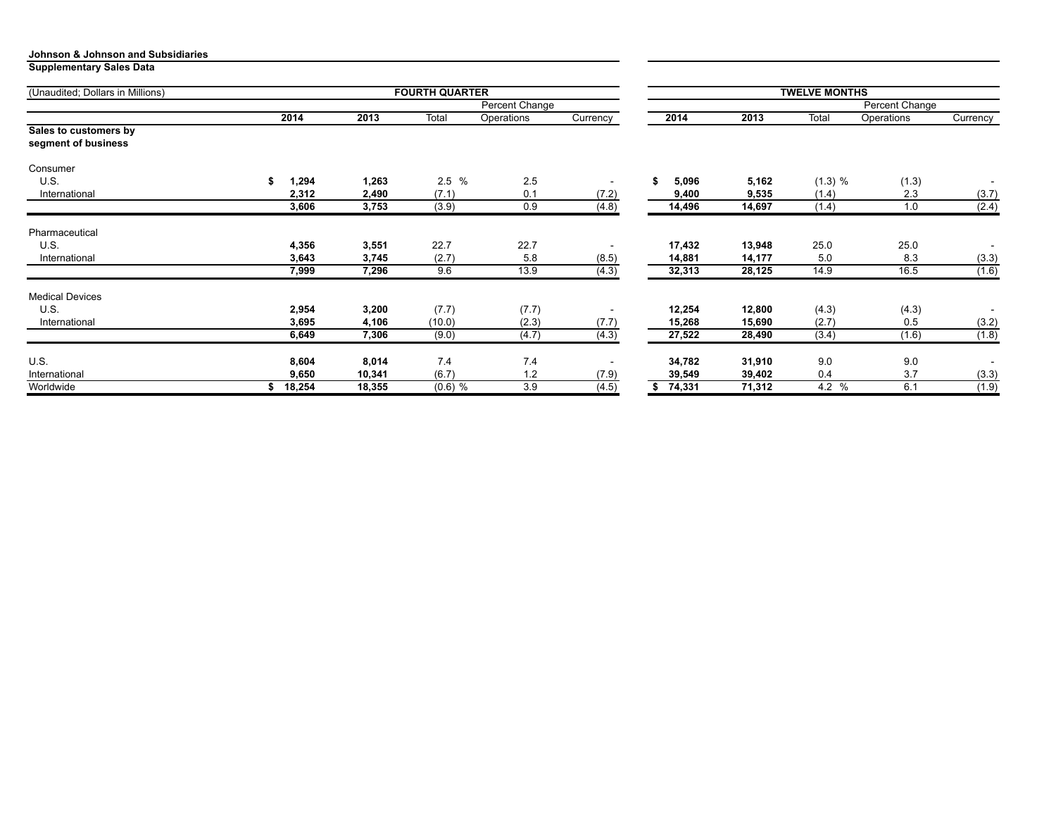**Supplementary Sales Data**

| (Unaudited; Dollars in Millions)             |        |        | <b>FOURTH QUARTER</b> |                | <b>TWELVE MONTHS</b> |          |                |         |            |                          |
|----------------------------------------------|--------|--------|-----------------------|----------------|----------------------|----------|----------------|---------|------------|--------------------------|
|                                              |        |        |                       | Percent Change |                      |          | Percent Change |         |            |                          |
|                                              | 2014   | 2013   | Total                 | Operations     | Currency             | 2014     | 2013           | Total   | Operations | Currency                 |
| Sales to customers by<br>segment of business |        |        |                       |                |                      |          |                |         |            |                          |
| Consumer                                     |        |        |                       |                |                      |          |                |         |            |                          |
| U.S.                                         | 1,294  | 1,263  | 2.5%                  | 2.5            |                      | 5,096    | 5,162          | (1.3) % | (1.3)      |                          |
| International                                | 2,312  | 2,490  | (7.1)                 | 0.1            | (7.2)                | 9,400    | 9,535          | (1.4)   | 2.3        | (3.7)                    |
|                                              | 3,606  | 3,753  | (3.9)                 | 0.9            | (4.8)                | 14,496   | 14,697         | (1.4)   | 1.0        | (2.4)                    |
| Pharmaceutical                               |        |        |                       |                |                      |          |                |         |            |                          |
| U.S.                                         | 4,356  | 3,551  | 22.7                  | 22.7           |                      | 17,432   | 13,948         | 25.0    | 25.0       | $\overline{\phantom{a}}$ |
| International                                | 3,643  | 3,745  | (2.7)                 | 5.8            | (8.5)                | 14,881   | 14,177         | 5.0     | 8.3        | (3.3)                    |
|                                              | 7,999  | 7,296  | 9.6                   | 13.9           | (4.3)                | 32,313   | 28,125         | 14.9    | 16.5       | (1.6)                    |
| <b>Medical Devices</b>                       |        |        |                       |                |                      |          |                |         |            |                          |
| U.S.                                         | 2,954  | 3,200  | (7.7)                 | (7.7)          |                      | 12,254   | 12,800         | (4.3)   | (4.3)      |                          |
| International                                | 3,695  | 4,106  | (10.0)                | (2.3)          | (7.7)                | 15,268   | 15,690         | (2.7)   | 0.5        | (3.2)                    |
|                                              | 6,649  | 7,306  | (9.0)                 | (4.7)          | (4.3)                | 27,522   | 28,490         | (3.4)   | (1.6)      | (1.8)                    |
| U.S.                                         | 8,604  | 8,014  | 7.4                   | 7.4            |                      | 34,782   | 31,910         | 9.0     | 9.0        | $\overline{\phantom{a}}$ |
| International                                | 9,650  | 10,341 | (6.7)                 | 1.2            | (7.9)                | 39,549   | 39,402         | 0.4     | 3.7        | (3.3)                    |
| Worldwide                                    | 18,254 | 18,355 | $(0.6)$ %             | 3.9            | (4.5)                | \$74,331 | 71,312         | 4.2 %   | 6.1        | (1.9)                    |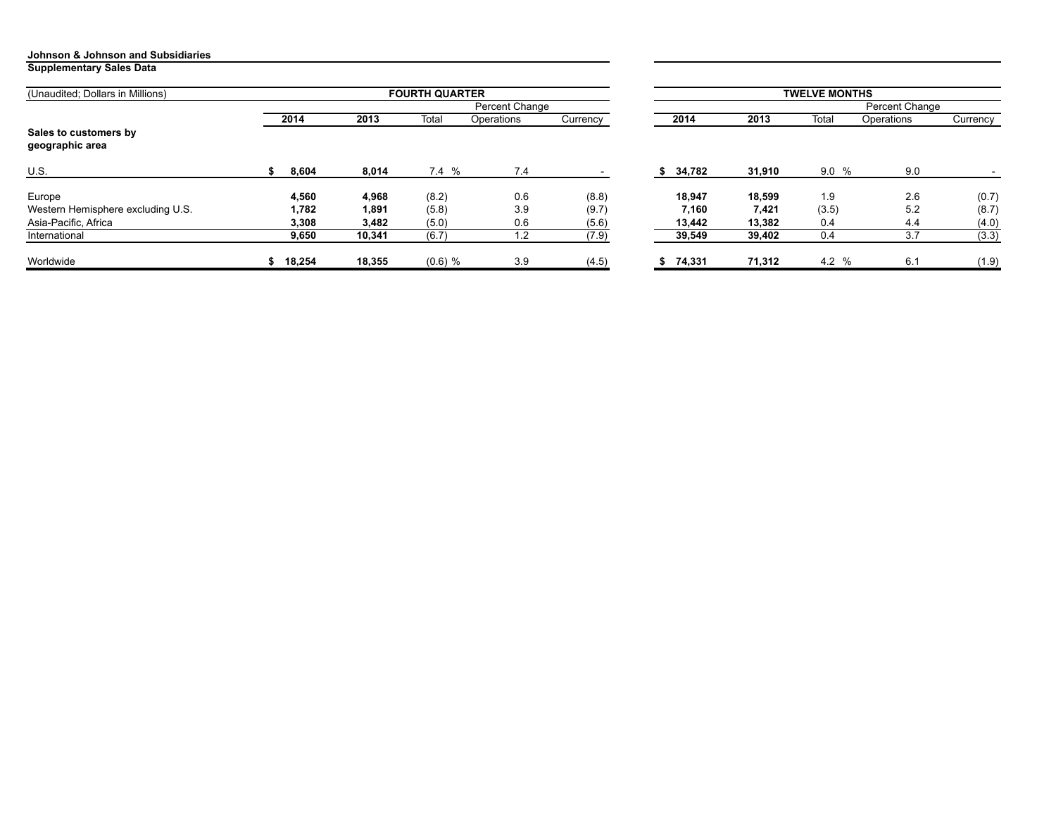#### **Supplementary Sales Data**

| (Unaudited; Dollars in Millions)         |        |        | <b>FOURTH QUARTER</b> |            |          | <b>TWELVE MONTHS</b> |        |                |            |          |  |  |
|------------------------------------------|--------|--------|-----------------------|------------|----------|----------------------|--------|----------------|------------|----------|--|--|
|                                          |        |        | Percent Change        |            |          |                      |        | Percent Change |            |          |  |  |
|                                          | 2014   | 2013   | Total                 | Operations | Currency | 2014                 | 2013   | Total          | Operations | Currency |  |  |
| Sales to customers by<br>geographic area |        |        |                       |            |          |                      |        |                |            |          |  |  |
| U.S.                                     | 8,604  | 8,014  | 7.4 %                 | 7.4        |          | 34,782<br>D.         | 31,910 | 9.0%           | 9.0        |          |  |  |
| Europe                                   | 4,560  | 4,968  | (8.2)                 | 0.6        | (8.8)    | 18,947               | 18,599 | 1.9            | 2.6        | (0.7)    |  |  |
| Western Hemisphere excluding U.S.        | 1,782  | 1,891  | (5.8)                 | 3.9        | (9.7)    | 7,160                | 7,421  | (3.5)          | 5.2        | (8.7)    |  |  |
| Asia-Pacific, Africa                     | 3,308  | 3,482  | (5.0)                 | 0.6        | (5.6)    | 13,442               | 13.382 | 0.4            | 4.4        | (4.0)    |  |  |
| International                            | 9,650  | 10,341 | (6.7)                 | 1.2        | (7.9)    | 39,549               | 39,402 | 0.4            | 3.7        | (3.3)    |  |  |
| Worldwide                                | 18,254 | 18,355 | $(0.6)$ %             | 3.9        | (4.5)    | 74,331               | 71,312 | 4.2 %          | 6.1        | (1.9)    |  |  |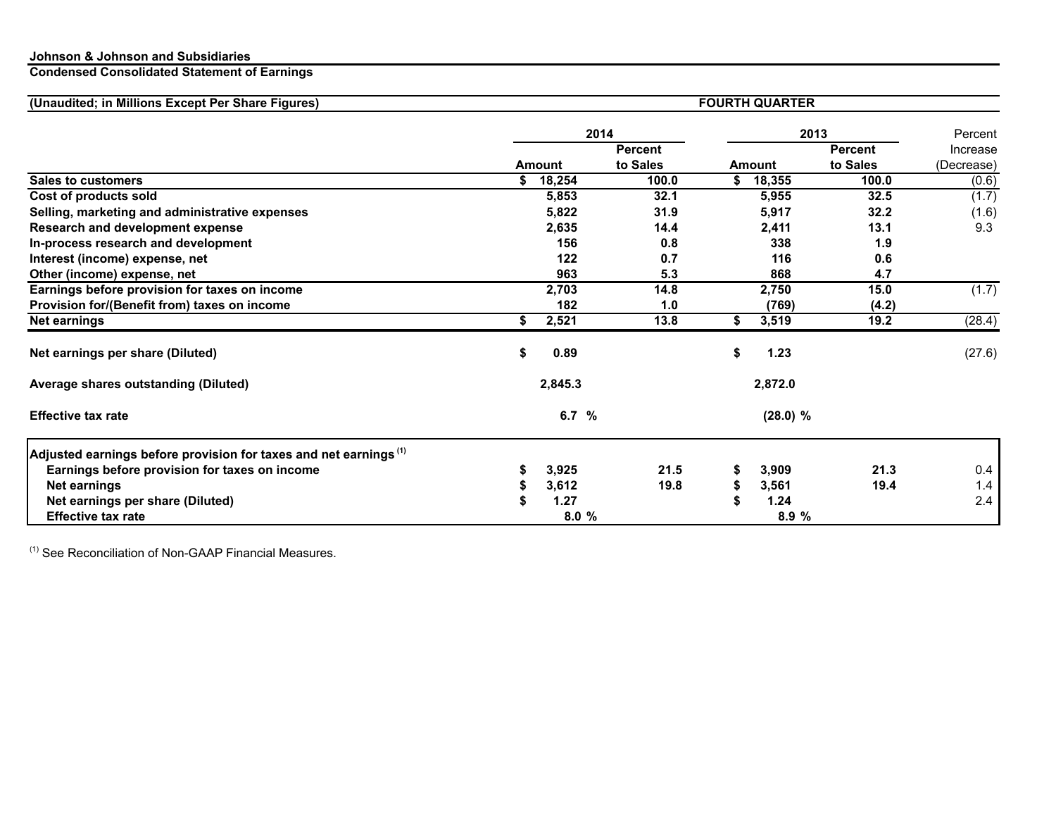#### **Condensed Consolidated Statement of Earnings**

| (Unaudited; in Millions Except Per Share Figures)                      | <b>FOURTH QUARTER</b> |               |                |    |               |                |            |  |  |  |
|------------------------------------------------------------------------|-----------------------|---------------|----------------|----|---------------|----------------|------------|--|--|--|
|                                                                        |                       |               | 2014           |    |               | 2013           | Percent    |  |  |  |
|                                                                        |                       |               | <b>Percent</b> |    |               | <b>Percent</b> | Increase   |  |  |  |
|                                                                        |                       | <b>Amount</b> | to Sales       |    | <b>Amount</b> | to Sales       | (Decrease) |  |  |  |
| <b>Sales to customers</b>                                              | S.                    | 18,254        | 100.0          | S  | 18,355        | 100.0          | (0.6)      |  |  |  |
| Cost of products sold                                                  |                       | 5,853         | 32.1           |    | 5,955         | 32.5           | (1.7)      |  |  |  |
| Selling, marketing and administrative expenses                         |                       | 5,822         | 31.9           |    | 5,917         | 32.2           | (1.6)      |  |  |  |
| Research and development expense                                       |                       | 2,635         | 14.4           |    | 2,411         | 13.1           | 9.3        |  |  |  |
| In-process research and development                                    |                       | 156           | 0.8            |    | 338           | 1.9            |            |  |  |  |
| Interest (income) expense, net                                         |                       | 122           | 0.7            |    | 116           | 0.6            |            |  |  |  |
| Other (income) expense, net                                            |                       | 963           | 5.3            |    | 868           | 4.7            |            |  |  |  |
| Earnings before provision for taxes on income                          |                       | 2,703         | 14.8           |    | 2,750         | 15.0           | (1.7)      |  |  |  |
| Provision for/(Benefit from) taxes on income                           |                       | 182           | 1.0            |    | (769)         | (4.2)          |            |  |  |  |
| <b>Net earnings</b>                                                    | \$                    | 2,521         | 13.8           | \$ | 3,519         | 19.2           | (28.4)     |  |  |  |
| Net earnings per share (Diluted)                                       | S                     | 0.89          |                | \$ | 1.23          |                | (27.6)     |  |  |  |
| Average shares outstanding (Diluted)                                   |                       | 2,845.3       |                |    | 2,872.0       |                |            |  |  |  |
| <b>Effective tax rate</b>                                              |                       | 6.7 $%$       |                |    | (28.0) %      |                |            |  |  |  |
| Adjusted earnings before provision for taxes and net earnings $^{(1)}$ |                       |               |                |    |               |                |            |  |  |  |
| Earnings before provision for taxes on income                          |                       | 3,925         | 21.5           |    | 3,909         | 21.3           | 0.4        |  |  |  |
| Net earnings                                                           |                       | 3,612         | 19.8           | S  | 3,561         | 19.4           | 1.4        |  |  |  |
| Net earnings per share (Diluted)                                       |                       | 1.27          |                |    | 1.24          |                | 2.4        |  |  |  |
| <b>Effective tax rate</b>                                              |                       | 8.0%          |                |    | 8.9 %         |                |            |  |  |  |

 $(1)$  See Reconciliation of Non-GAAP Financial Measures.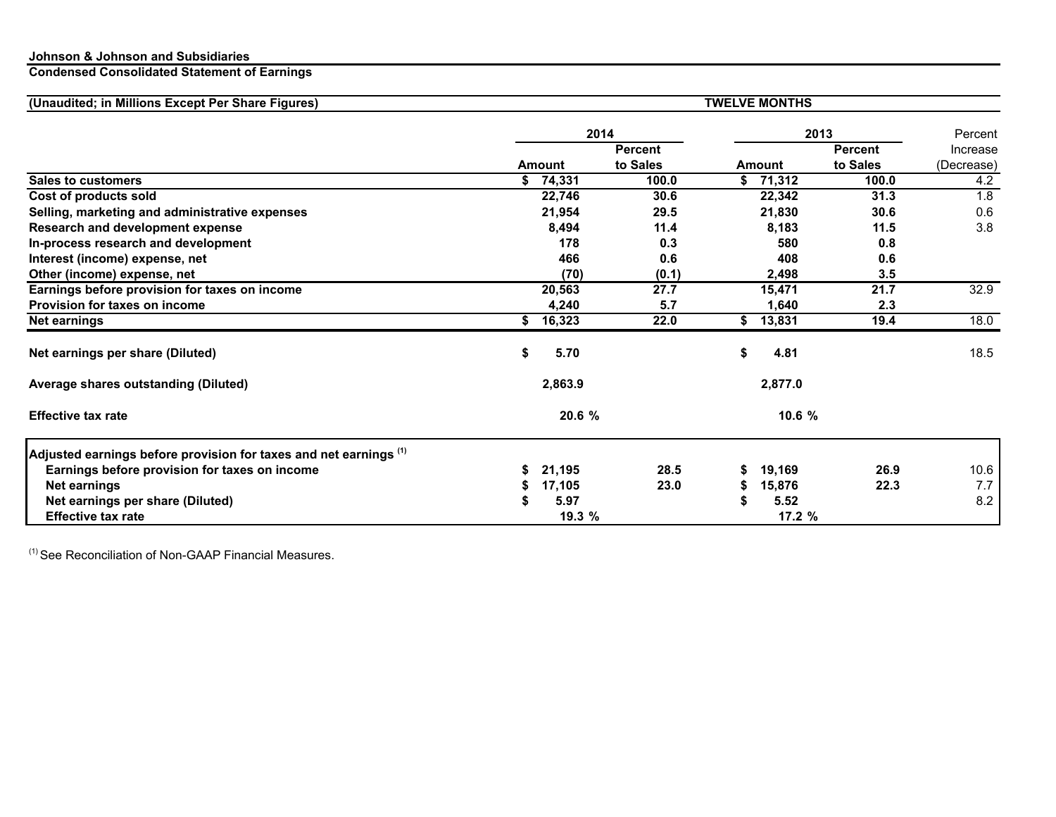#### **Condensed Consolidated Statement of Earnings**

| (Unaudited; in Millions Except Per Share Figures)                      | <b>TWELVE MONTHS</b> |               |                |    |               |                |            |  |  |  |
|------------------------------------------------------------------------|----------------------|---------------|----------------|----|---------------|----------------|------------|--|--|--|
|                                                                        |                      |               | 2014           |    | 2013          |                | Percent    |  |  |  |
|                                                                        |                      |               | <b>Percent</b> |    |               | <b>Percent</b> | Increase   |  |  |  |
|                                                                        |                      | <b>Amount</b> | to Sales       |    | <b>Amount</b> | to Sales       | (Decrease) |  |  |  |
| <b>Sales to customers</b>                                              | S.                   | 74,331        | 100.0          | S. | 71,312        | 100.0          | 4.2        |  |  |  |
| Cost of products sold                                                  |                      | 22,746        | 30.6           |    | 22,342        | 31.3           | 1.8        |  |  |  |
| Selling, marketing and administrative expenses                         |                      | 21,954        | 29.5           |    | 21,830        | 30.6           | 0.6        |  |  |  |
| Research and development expense                                       |                      | 8,494         | 11.4           |    | 8,183         | 11.5           | 3.8        |  |  |  |
| In-process research and development                                    |                      | 178           | 0.3            |    | 580           | 0.8            |            |  |  |  |
| Interest (income) expense, net                                         |                      | 466           | 0.6            |    | 408           | 0.6            |            |  |  |  |
| Other (income) expense, net                                            |                      | (70)          | (0.1)          |    | 2,498         | 3.5            |            |  |  |  |
| Earnings before provision for taxes on income                          |                      | 20,563        | 27.7           |    | 15,471        | 21.7           | 32.9       |  |  |  |
| <b>Provision for taxes on income</b>                                   |                      | 4,240         | 5.7            |    | 1,640         | 2.3            |            |  |  |  |
| <b>Net earnings</b>                                                    | \$                   | 16,323        | 22.0           | \$ | 13,831        | 19.4           | 18.0       |  |  |  |
| Net earnings per share (Diluted)                                       | \$                   | 5.70          |                | \$ | 4.81          |                | 18.5       |  |  |  |
| Average shares outstanding (Diluted)                                   |                      | 2,863.9       |                |    | 2,877.0       |                |            |  |  |  |
| <b>Effective tax rate</b>                                              |                      | 20.6 %        |                |    | 10.6%         |                |            |  |  |  |
| Adjusted earnings before provision for taxes and net earnings $^{(1)}$ |                      |               |                |    |               |                |            |  |  |  |
| Earnings before provision for taxes on income                          |                      | 21,195        | 28.5           | S  | 19,169        | 26.9           | 10.6       |  |  |  |
| Net earnings                                                           |                      | 17,105        | 23.0           | S  | 15,876        | 22.3           | 7.7        |  |  |  |
| Net earnings per share (Diluted)                                       |                      | 5.97          |                |    | 5.52          |                | 8.2        |  |  |  |
| <b>Effective tax rate</b>                                              |                      | 19.3 %        |                |    | 17.2 %        |                |            |  |  |  |

 $(1)$  See Reconciliation of Non-GAAP Financial Measures.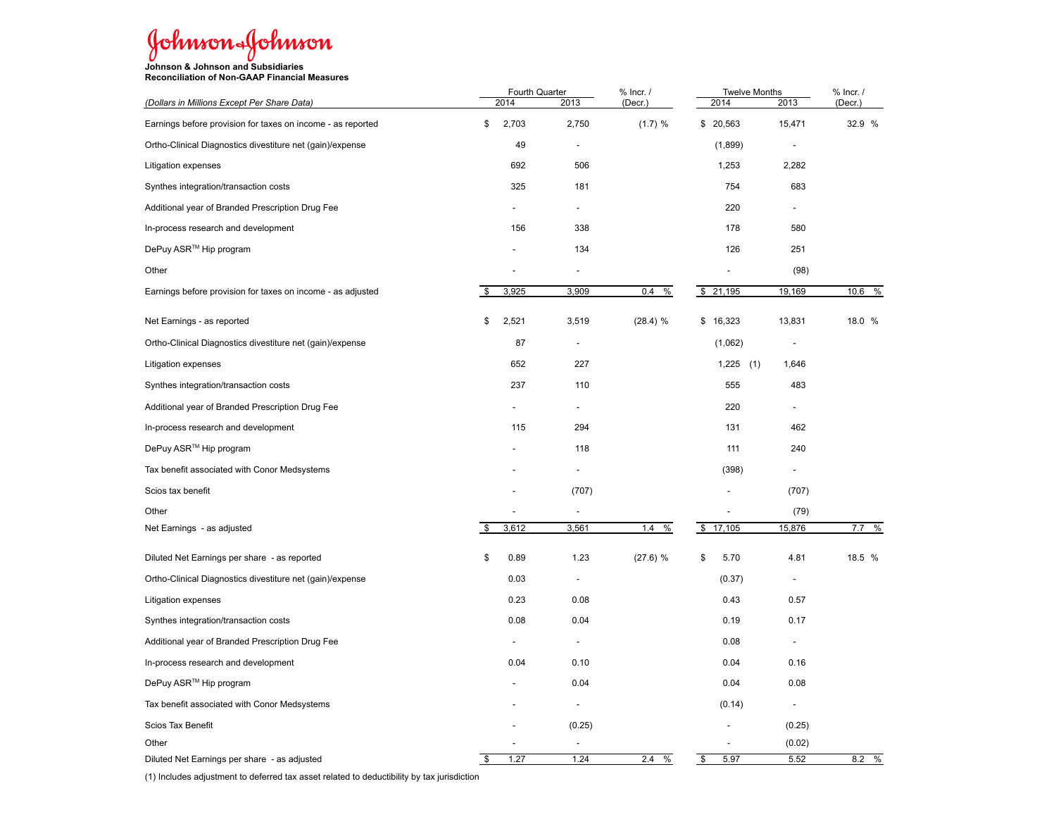# Johnson&Johnson

**Johnson & Johnson and Subsidiaries Reconciliation of Non-GAAP Financial Measures**

|                                                             | 2014 |                          | Fourth Quarter           | % Incr. / | <b>Twelve Months</b> | % Incr. /                |           |
|-------------------------------------------------------------|------|--------------------------|--------------------------|-----------|----------------------|--------------------------|-----------|
| (Dollars in Millions Except Per Share Data)                 |      |                          | 2013                     | (Decr.)   | 2014                 | 2013                     | (Decr.)   |
| Earnings before provision for taxes on income - as reported | \$   | 2,703                    | 2,750                    | (1.7) %   | \$ 20,563            | 15,471                   | 32.9 %    |
| Ortho-Clinical Diagnostics divestiture net (gain)/expense   |      | 49                       | $\overline{a}$           |           | (1,899)              | $\blacksquare$           |           |
| Litigation expenses                                         |      | 692                      | 506                      |           | 1,253                | 2,282                    |           |
| Synthes integration/transaction costs                       |      | 325                      | 181                      |           | 754                  | 683                      |           |
| Additional year of Branded Prescription Drug Fee            |      |                          |                          |           | 220                  |                          |           |
| In-process research and development                         |      | 156                      | 338                      |           | 178                  | 580                      |           |
| DePuy ASR™ Hip program                                      |      |                          | 134                      |           | 126                  | 251                      |           |
| Other                                                       |      |                          |                          |           |                      | (98)                     |           |
| Earnings before provision for taxes on income - as adjusted |      | 3,925                    | 3,909                    | 0.4<br>%  | \$<br>21,195         | 19,169                   | 10.6<br>% |
| Net Earnings - as reported                                  | \$   | 2,521                    | 3,519                    | (28.4) %  | \$16,323             | 13,831                   | 18.0 %    |
| Ortho-Clinical Diagnostics divestiture net (gain)/expense   |      | 87                       | $\overline{a}$           |           | (1,062)              | $\overline{a}$           |           |
| <b>Litigation expenses</b>                                  |      | 652                      | 227                      |           | 1,225<br>(1)         | 1,646                    |           |
| Synthes integration/transaction costs                       |      | 237                      | 110                      |           | 555                  | 483                      |           |
| Additional year of Branded Prescription Drug Fee            |      |                          |                          |           | 220                  |                          |           |
| In-process research and development                         |      | 115                      | 294                      |           | 131                  | 462                      |           |
| DePuy ASR™ Hip program                                      |      |                          | 118                      |           | 111                  | 240                      |           |
| Tax benefit associated with Conor Medsystems                |      |                          |                          |           | (398)                |                          |           |
| Scios tax benefit                                           |      |                          | (707)                    |           |                      | (707)                    |           |
| Other                                                       |      | $\overline{\phantom{a}}$ |                          |           |                      | (79)                     |           |
| Net Earnings - as adjusted                                  | \$   | 3,612                    | 3,561                    | 1.4<br>%  | \$<br>17,105         | 15,876                   | 7.7<br>%  |
| Diluted Net Earnings per share - as reported                | \$   | 0.89                     | 1.23                     | (27.6) %  | 5.70<br>\$           | 4.81                     | 18.5 %    |
| Ortho-Clinical Diagnostics divestiture net (gain)/expense   |      | 0.03                     |                          |           | (0.37)               | $\overline{a}$           |           |
| <b>Litigation expenses</b>                                  |      | 0.23                     | 0.08                     |           | 0.43                 | 0.57                     |           |
| Synthes integration/transaction costs                       |      | 0.08                     | 0.04                     |           | 0.19                 | 0.17                     |           |
| Additional year of Branded Prescription Drug Fee            |      |                          | $\overline{a}$           |           | 0.08                 | $\overline{\phantom{a}}$ |           |
| In-process research and development                         |      | 0.04                     | 0.10                     |           | 0.04                 | 0.16                     |           |
| DePuy ASR™ Hip program                                      |      |                          | 0.04                     |           | 0.04                 | 0.08                     |           |
| Tax benefit associated with Conor Medsystems                |      |                          | $\overline{\phantom{a}}$ |           | (0.14)               | $\blacksquare$           |           |
| Scios Tax Benefit                                           |      |                          | (0.25)                   |           |                      | (0.25)                   |           |
| Other                                                       |      |                          |                          |           |                      | (0.02)                   |           |
| Diluted Net Earnings per share - as adjusted                | \$   | 1.27                     | 1.24                     | 2.4<br>%  | 5.97<br>\$           | 5.52                     | $8.2\%$   |

(1) Includes adjustment to deferred tax asset related to deductibility by tax jurisdiction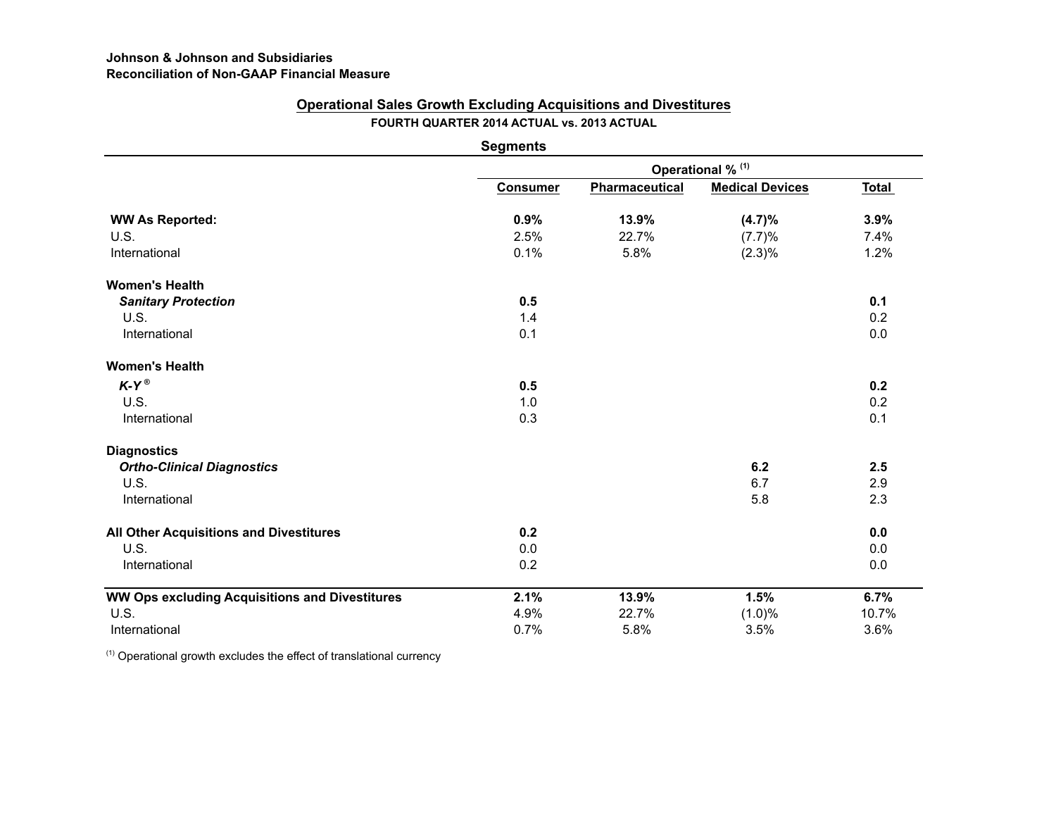### **Operational Sales Growth Excluding Acquisitions and Divestitures FOURTH QUARTER 2014 ACTUAL vs. 2013 ACTUAL**

|                                                       | <b>Segments</b>   |                |                        |       |  |  |  |  |  |
|-------------------------------------------------------|-------------------|----------------|------------------------|-------|--|--|--|--|--|
|                                                       | Operational % (1) |                |                        |       |  |  |  |  |  |
|                                                       | <b>Consumer</b>   | Pharmaceutical | <b>Medical Devices</b> | Total |  |  |  |  |  |
| <b>WW As Reported:</b>                                | 0.9%              | 13.9%          | (4.7)%                 | 3.9%  |  |  |  |  |  |
| U.S.                                                  | 2.5%              | 22.7%          | (7.7)%                 | 7.4%  |  |  |  |  |  |
| International                                         | 0.1%              | 5.8%           | $(2.3)\%$              | 1.2%  |  |  |  |  |  |
| <b>Women's Health</b>                                 |                   |                |                        |       |  |  |  |  |  |
| <b>Sanitary Protection</b>                            | 0.5               |                |                        | 0.1   |  |  |  |  |  |
| <b>U.S.</b>                                           | 1.4               |                |                        | 0.2   |  |  |  |  |  |
| International                                         | 0.1               |                |                        | 0.0   |  |  |  |  |  |
| <b>Women's Health</b>                                 |                   |                |                        |       |  |  |  |  |  |
| $K-Y^{\circledR}$                                     | 0.5               |                |                        | 0.2   |  |  |  |  |  |
| U.S.                                                  | 1.0               |                |                        | 0.2   |  |  |  |  |  |
| International                                         | 0.3               |                |                        | 0.1   |  |  |  |  |  |
| <b>Diagnostics</b>                                    |                   |                |                        |       |  |  |  |  |  |
| <b>Ortho-Clinical Diagnostics</b>                     |                   |                | 6.2                    | 2.5   |  |  |  |  |  |
| <b>U.S.</b>                                           |                   |                | 6.7                    | 2.9   |  |  |  |  |  |
| International                                         |                   |                | 5.8                    | 2.3   |  |  |  |  |  |
| All Other Acquisitions and Divestitures               | 0.2               |                |                        | 0.0   |  |  |  |  |  |
| <b>U.S.</b>                                           | 0.0               |                |                        | 0.0   |  |  |  |  |  |
| International                                         | 0.2               |                |                        | 0.0   |  |  |  |  |  |
| <b>WW Ops excluding Acquisitions and Divestitures</b> | 2.1%              | 13.9%          | 1.5%                   | 6.7%  |  |  |  |  |  |
| U.S.                                                  | 4.9%              | 22.7%          | (1.0)%                 | 10.7% |  |  |  |  |  |
| International                                         | 0.7%              | 5.8%           | 3.5%                   | 3.6%  |  |  |  |  |  |

 $(1)$  Operational growth excludes the effect of translational currency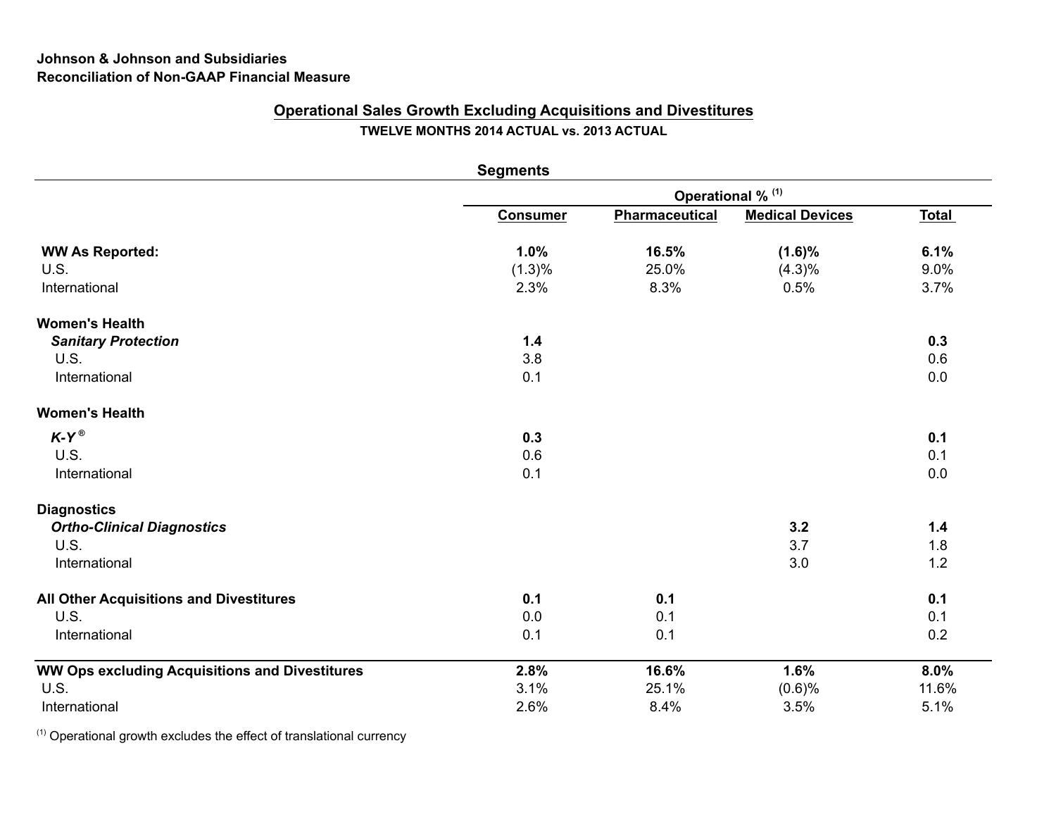## **Johnson & Johnson and Subsidiaries Reconciliation of Non-GAAP Financial Measure**

## **Operational Sales Growth Excluding Acquisitions and Divestitures TWELVE MONTHS 2014 ACTUAL vs. 2013 ACTUAL**

|                                                       | <b>Segments</b> |                              |                        |              |
|-------------------------------------------------------|-----------------|------------------------------|------------------------|--------------|
|                                                       |                 | Operational % <sup>(1)</sup> |                        |              |
|                                                       | <b>Consumer</b> | Pharmaceutical               | <b>Medical Devices</b> | <b>Total</b> |
| <b>WW As Reported:</b>                                | 1.0%            | 16.5%                        | $(1.6)\%$              | 6.1%         |
| U.S.                                                  | (1.3)%          | 25.0%                        | $(4.3)\%$              | 9.0%         |
| International                                         | 2.3%            | 8.3%                         | 0.5%                   | 3.7%         |
| <b>Women's Health</b>                                 |                 |                              |                        |              |
| <b>Sanitary Protection</b>                            | 1.4             |                              |                        | 0.3          |
| U.S.                                                  | 3.8             |                              |                        | 0.6          |
| International                                         | 0.1             |                              |                        | 0.0          |
| <b>Women's Health</b>                                 |                 |                              |                        |              |
| $K-Y^{\circledcirc}$                                  | 0.3             |                              |                        | 0.1          |
| U.S.                                                  | 0.6             |                              |                        | 0.1          |
| International                                         | 0.1             |                              |                        | 0.0          |
| <b>Diagnostics</b>                                    |                 |                              |                        |              |
| <b>Ortho-Clinical Diagnostics</b>                     |                 |                              | 3.2                    | $1.4$        |
| U.S.                                                  |                 |                              | 3.7                    | 1.8          |
| International                                         |                 |                              | 3.0                    | 1.2          |
| All Other Acquisitions and Divestitures               | 0.1             | 0.1                          |                        | 0.1          |
| U.S.                                                  | 0.0             | 0.1                          |                        | 0.1          |
| International                                         | 0.1             | 0.1                          |                        | 0.2          |
| <b>WW Ops excluding Acquisitions and Divestitures</b> | 2.8%            | 16.6%                        | 1.6%                   | 8.0%         |
| U.S.                                                  | 3.1%            | 25.1%                        | (0.6)%                 | 11.6%        |
| International                                         | 2.6%            | 8.4%                         | 3.5%                   | 5.1%         |

 $(1)$  Operational growth excludes the effect of translational currency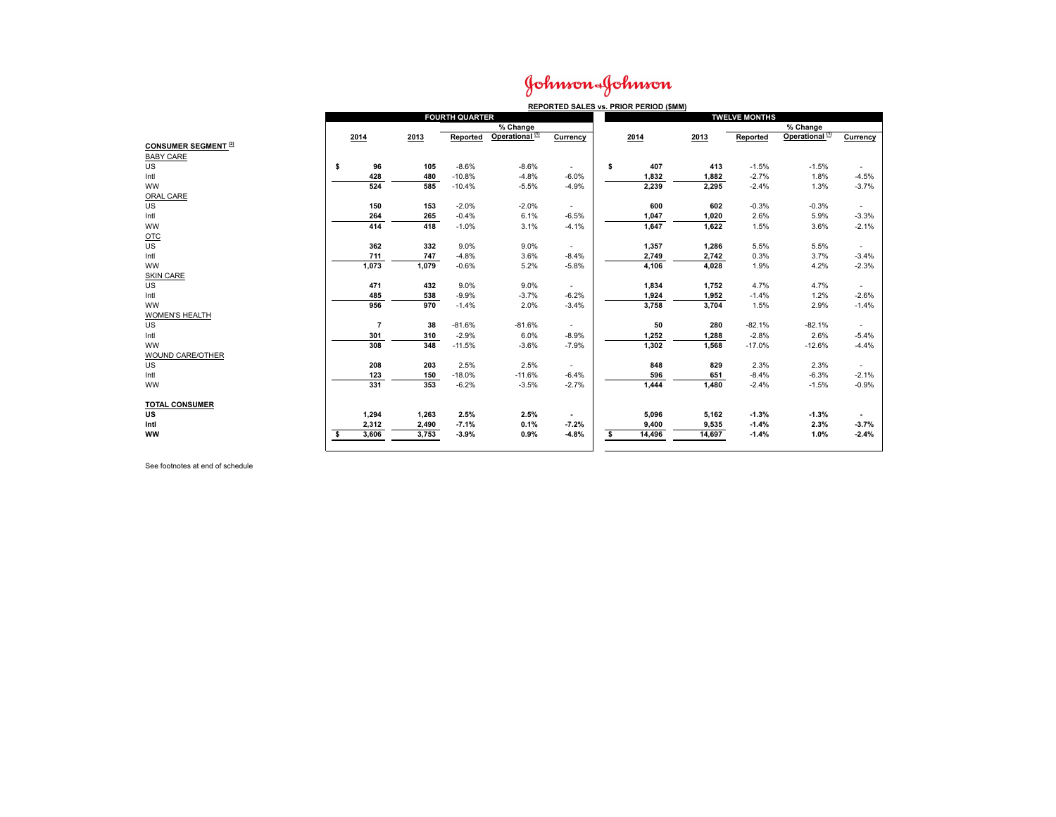## Johnson&Johnson

|                             | REPORTED SALES vs. PRIOR PERIOD (\$MM) |                |       |                       |                            |                          |                      |        |        |          |                              |                          |  |
|-----------------------------|----------------------------------------|----------------|-------|-----------------------|----------------------------|--------------------------|----------------------|--------|--------|----------|------------------------------|--------------------------|--|
|                             |                                        |                |       | <b>FOURTH QUARTER</b> |                            |                          | <b>TWELVE MONTHS</b> |        |        |          |                              |                          |  |
|                             |                                        |                |       |                       | $%$ Change                 |                          |                      |        |        |          | $\sqrt{\frac{2}{10}}$ Change |                          |  |
|                             | 2014                                   |                | 2013  | Reported              | Operational <sup>(1)</sup> | Currency                 |                      | 2014   | 2013   | Reported | Operational <sup>(1)</sup>   | Currency                 |  |
| <b>CONSUMER SEGMENT (2)</b> |                                        |                |       |                       |                            |                          |                      |        |        |          |                              |                          |  |
| <b>BABY CARE</b>            |                                        |                |       |                       |                            |                          |                      |        |        |          |                              |                          |  |
| US                          | s.                                     | 96             | 105   | $-8.6%$               | $-8.6%$                    | $\sim$                   | \$                   | 407    | 413    | $-1.5%$  | $-1.5%$                      | $\sim$                   |  |
| Intl                        |                                        | 428            | 480   | $-10.8%$              | $-4.8%$                    | $-6.0%$                  |                      | 1,832  | 1,882  | $-2.7%$  | 1.8%                         | $-4.5%$                  |  |
| <b>WW</b>                   |                                        | 524            | 585   | $-10.4%$              | $-5.5%$                    | $-4.9%$                  |                      | 2,239  | 2,295  | $-2.4%$  | 1.3%                         | $-3.7%$                  |  |
| ORAL CARE                   |                                        |                |       |                       |                            |                          |                      |        |        |          |                              |                          |  |
| US                          |                                        | 150            | 153   | $-2.0%$               | $-2.0%$                    | $\overline{\phantom{a}}$ |                      | 600    | 602    | $-0.3%$  | $-0.3%$                      | $\sim$                   |  |
| Intl                        |                                        | 264            | 265   | $-0.4%$               | 6.1%                       | $-6.5%$                  |                      | 1,047  | 1,020  | 2.6%     | 5.9%                         | $-3.3%$                  |  |
| <b>WW</b>                   |                                        | 414            | 418   | $-1.0%$               | 3.1%                       | $-4.1%$                  |                      | 1,647  | 1,622  | 1.5%     | 3.6%                         | $-2.1%$                  |  |
| $OTC$                       |                                        |                |       |                       |                            |                          |                      |        |        |          |                              |                          |  |
| <b>US</b>                   |                                        | 362            | 332   | 9.0%                  | 9.0%                       | $\sim$                   |                      | 1,357  | 1,286  | 5.5%     | 5.5%                         | $\sim$                   |  |
| Intl                        |                                        | 711            | 747   | $-4.8%$               | 3.6%                       | $-8.4%$                  |                      | 2,749  | 2,742  | 0.3%     | 3.7%                         | $-3.4%$                  |  |
| <b>WW</b>                   |                                        | 1,073          | 1,079 | $-0.6%$               | 5.2%                       | $-5.8%$                  |                      | 4,106  | 4,028  | 1.9%     | 4.2%                         | $-2.3%$                  |  |
| <b>SKIN CARE</b>            |                                        |                |       |                       |                            |                          |                      |        |        |          |                              |                          |  |
| US                          |                                        | 471            | 432   | 9.0%                  | 9.0%                       | ٠                        |                      | 1,834  | 1,752  | 4.7%     | 4.7%                         | $\overline{\phantom{a}}$ |  |
| Intl                        |                                        | 485            | 538   | $-9.9%$               | $-3.7%$                    | $-6.2%$                  |                      | 1,924  | 1,952  | $-1.4%$  | 1.2%                         | $-2.6%$                  |  |
| <b>WW</b>                   |                                        | 956            | 970   | $-1.4%$               | 2.0%                       | $-3.4%$                  |                      | 3,758  | 3,704  | 1.5%     | 2.9%                         | $-1.4%$                  |  |
| <b>WOMEN'S HEALTH</b>       |                                        |                |       |                       |                            |                          |                      |        |        |          |                              |                          |  |
| US                          |                                        | $\overline{7}$ | 38    | $-81.6%$              | $-81.6%$                   | $\sim$                   |                      | 50     | 280    | $-82.1%$ | $-82.1%$                     | $\sim$                   |  |
| Intl                        |                                        | 301            | 310   | $-2.9%$               | 6.0%                       | $-8.9%$                  |                      | 1,252  | 1,288  | $-2.8%$  | 2.6%                         | $-5.4%$                  |  |
| <b>WW</b>                   |                                        | 308            | 348   | $-11.5%$              | $-3.6%$                    | $-7.9%$                  |                      | 1,302  | 1,568  | $-17.0%$ | $-12.6%$                     | $-4.4%$                  |  |
| WOUND CARE/OTHER            |                                        |                |       |                       |                            |                          |                      |        |        |          |                              |                          |  |
| US                          |                                        | 208            | 203   | 2.5%                  | 2.5%                       | $\sim$                   |                      | 848    | 829    | 2.3%     | 2.3%                         | $\sim$                   |  |
| Intl                        |                                        | 123            | 150   | $-18.0%$              | $-11.6%$                   | $-6.4%$                  |                      | 596    | 651    | $-8.4%$  | $-6.3%$                      | $-2.1%$                  |  |
| <b>WW</b>                   |                                        | 331            | 353   | $-6.2%$               | $-3.5%$                    | $-2.7%$                  |                      | 1,444  | 1,480  | $-2.4%$  | $-1.5%$                      | $-0.9%$                  |  |
|                             |                                        |                |       |                       |                            |                          |                      |        |        |          |                              |                          |  |
| <b>TOTAL CONSUMER</b>       |                                        |                |       |                       |                            |                          |                      |        |        |          |                              |                          |  |
| US                          |                                        | 1,294          | 1,263 | 2.5%                  | 2.5%                       | $\overline{\phantom{a}}$ |                      | 5,096  | 5,162  | $-1.3%$  | $-1.3%$                      |                          |  |
| Intl                        |                                        | 2,312          | 2,490 | $-7.1%$               | 0.1%                       | $-7.2%$                  |                      | 9,400  | 9,535  | $-1.4%$  | 2.3%                         | $-3.7%$                  |  |
| <b>WW</b>                   | \$                                     | 3,606          | 3,753 | $-3.9%$               | 0.9%                       | $-4.8%$                  | s                    | 14,496 | 14,697 | $-1.4%$  | 1.0%                         | $-2.4%$                  |  |
|                             |                                        |                |       |                       |                            |                          |                      |        |        |          |                              |                          |  |

See footnotes at end of schedule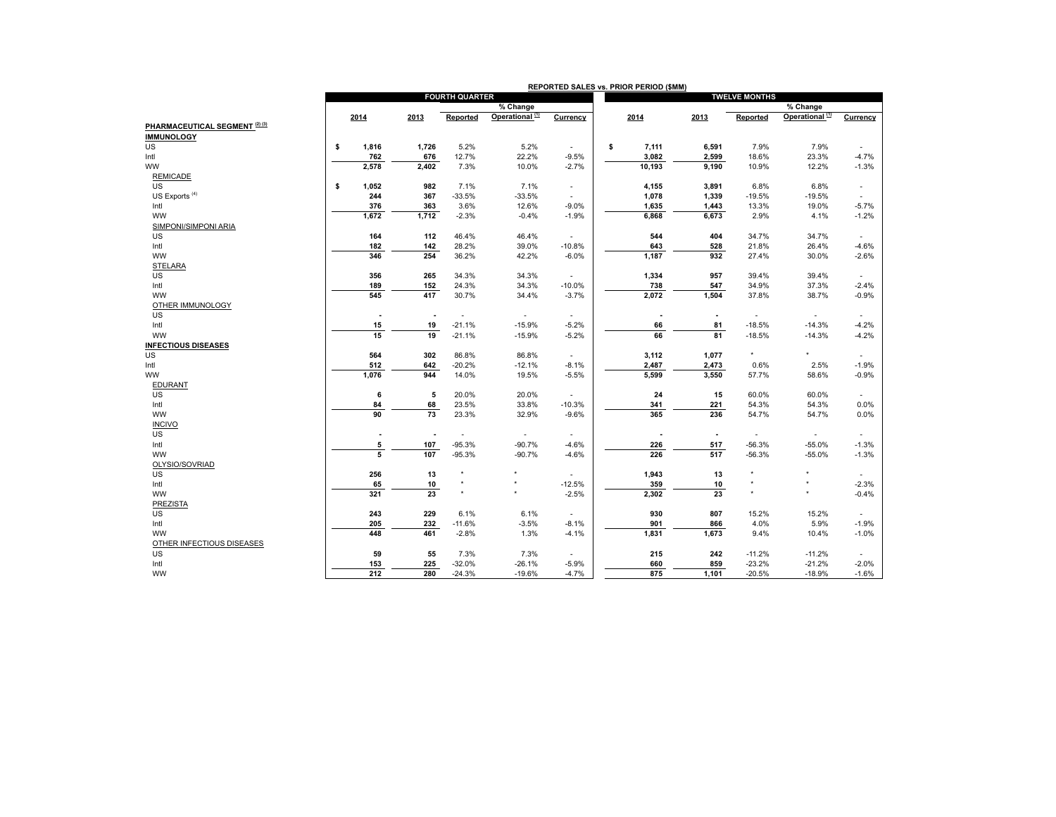|                                | REPORTED SALES vs. PRIOR PERIOD (\$MM) |                          |                          |                             |                             |                          |                          |                          |                            |                          |  |
|--------------------------------|----------------------------------------|--------------------------|--------------------------|-----------------------------|-----------------------------|--------------------------|--------------------------|--------------------------|----------------------------|--------------------------|--|
|                                |                                        |                          | <b>FOURTH QUARTER</b>    |                             |                             |                          |                          | <b>TWELVE MONTHS</b>     |                            |                          |  |
|                                |                                        |                          |                          | $\sqrt{\frac{2}{5}}$ Change |                             |                          |                          |                          | % Change                   |                          |  |
|                                | 2014                                   | 2013                     | Reported                 | Operational <sup>(1)</sup>  | Currency                    | 2014                     | 2013                     | Reported                 | Operational <sup>(1)</sup> | Currency                 |  |
| PHARMACEUTICAL SEGMENT (2) (3) |                                        |                          |                          |                             |                             |                          |                          |                          |                            |                          |  |
| <b>IMMUNOLOGY</b>              |                                        |                          |                          |                             |                             |                          |                          |                          |                            |                          |  |
| US                             | 1,816<br>\$                            | 1,726                    | 5.2%                     | 5.2%                        | $\sim$                      | \$<br>7,111              | 6,591                    | 7.9%                     | 7.9%                       |                          |  |
| Intl                           | 762                                    | 676                      | 12.7%                    | 22.2%                       | $-9.5%$                     | 3,082                    | 2,599                    | 18.6%                    | 23.3%                      | $-4.7%$                  |  |
| <b>WW</b>                      | 2,578                                  | 2,402                    | 7.3%                     | 10.0%                       | $-2.7%$                     | 10,193                   | 9,190                    | 10.9%                    | 12.2%                      | $-1.3%$                  |  |
| <b>REMICADE</b>                |                                        |                          |                          |                             |                             |                          |                          |                          |                            |                          |  |
| US                             | 1,052<br>\$                            | 982                      | 7.1%                     | 7.1%                        | $\overline{\phantom{a}}$    | 4,155                    | 3,891                    | 6.8%                     | 6.8%                       | $\overline{\phantom{a}}$ |  |
| US Exports <sup>(4)</sup>      | 244                                    | 367                      | $-33.5%$                 | $-33.5%$                    | $\overline{\phantom{a}}$    | 1,078                    | 1,339                    | $-19.5%$                 | $-19.5%$                   | $\overline{\phantom{a}}$ |  |
| Intl                           | 376                                    | 363                      | 3.6%                     | 12.6%                       | $-9.0%$                     | 1,635                    | 1,443                    | 13.3%                    | 19.0%                      | $-5.7%$                  |  |
| <b>WW</b>                      | 1,672                                  | 1,712                    | $-2.3%$                  | $-0.4%$                     | $-1.9%$                     | 6,868                    | 6,673                    | 2.9%                     | 4.1%                       | $-1.2%$                  |  |
| SIMPONI/SIMPONI ARIA           |                                        |                          |                          |                             |                             |                          |                          |                          |                            |                          |  |
| US                             | 164                                    | 112                      | 46.4%                    | 46.4%                       | $\sim$                      | 544                      | 404                      | 34.7%                    | 34.7%                      | $\overline{\phantom{a}}$ |  |
| Intl                           | 182                                    | 142                      | 28.2%                    | 39.0%                       | $-10.8%$                    | 643                      | 528                      | 21.8%                    | 26.4%                      | $-4.6%$                  |  |
| <b>WW</b>                      | 346                                    | 254                      | 36.2%                    | 42.2%                       | $-6.0%$                     | 1,187                    | 932                      | 27.4%                    | 30.0%                      | $-2.6%$                  |  |
| <b>STELARA</b>                 |                                        |                          |                          |                             |                             |                          |                          |                          |                            |                          |  |
| US                             | 356                                    | 265                      | 34.3%                    | 34.3%                       | $\sim$                      | 1,334                    | 957                      | 39.4%                    | 39.4%                      | $\overline{\phantom{a}}$ |  |
| Intl                           | 189                                    | 152                      | 24.3%                    | 34.3%                       | $-10.0%$                    | 738                      | 547                      | 34.9%                    | 37.3%                      | $-2.4%$                  |  |
| <b>WW</b>                      | 545                                    | 417                      | 30.7%                    | 34.4%                       | $-3.7%$                     | 2,072                    | 1,504                    | 37.8%                    | 38.7%                      | $-0.9%$                  |  |
| OTHER IMMUNOLOGY               |                                        |                          |                          |                             |                             |                          |                          |                          |                            |                          |  |
| US                             | $\overline{\phantom{a}}$               | $\overline{\phantom{a}}$ | $\overline{\phantom{a}}$ | $\overline{\phantom{a}}$    | $\overline{\phantom{a}}$    | $\overline{\phantom{a}}$ | $\overline{\phantom{a}}$ | $\sim$                   | $\overline{\phantom{a}}$   | $\overline{\phantom{a}}$ |  |
| Intl                           | 15                                     | 19                       | $-21.1%$                 | $-15.9%$                    | $-5.2%$                     | 66                       | 81                       | $-18.5%$                 | $-14.3%$                   | $-4.2%$                  |  |
| <b>WW</b>                      | 15                                     | 19                       | $-21.1%$                 | $-15.9%$                    | $-5.2%$                     | 66                       | 81                       | $-18.5%$                 | $-14.3%$                   | $-4.2%$                  |  |
| <b>INFECTIOUS DISEASES</b>     |                                        |                          |                          |                             |                             |                          |                          |                          |                            |                          |  |
| US                             | 564                                    | 302                      | 86.8%                    | 86.8%                       | $\overline{\phantom{a}}$    | 3,112                    | 1,077                    | $\star$                  | $\star$                    | ٠                        |  |
| Intl                           | 512                                    | 642                      | $-20.2%$                 | $-12.1%$                    | $-8.1%$                     | 2,487                    | 2,473                    | 0.6%                     | 2.5%                       | $-1.9%$                  |  |
| <b>WW</b>                      | 1,076                                  | 944                      | 14.0%                    | 19.5%                       | $-5.5%$                     | 5,599                    | 3,550                    | 57.7%                    | 58.6%                      | $-0.9%$                  |  |
| EDURANT                        |                                        |                          |                          |                             |                             |                          |                          |                          |                            |                          |  |
| US                             | 6                                      | 5                        | 20.0%                    | 20.0%                       | $\sim$                      | 24                       | 15                       | 60.0%                    | 60.0%                      |                          |  |
| Intl                           | 84                                     | 68                       | 23.5%                    | 33.8%                       | $-10.3%$                    | 341                      | 221                      | 54.3%                    | 54.3%                      | 0.0%                     |  |
| <b>WW</b>                      | 90                                     | 73                       | 23.3%                    | 32.9%                       | $-9.6%$                     | 365                      | 236                      | 54.7%                    | 54.7%                      | 0.0%                     |  |
| <b>INCIVO</b>                  |                                        |                          |                          |                             |                             |                          |                          |                          |                            |                          |  |
| US                             | $\overline{\phantom{a}}$               | $\overline{\phantom{a}}$ |                          | $\overline{\phantom{a}}$    | $\sim$                      |                          | $\overline{\phantom{a}}$ | $\overline{\phantom{a}}$ | $\overline{\phantom{a}}$   | $\overline{\phantom{a}}$ |  |
| Intl                           | 5                                      | 107                      | $-95.3%$                 | $-90.7%$                    | $-4.6%$                     | 226                      | 517                      | $-56.3%$                 | $-55.0%$                   | $-1.3%$                  |  |
| <b>WW</b>                      | $\overline{5}$                         | 107                      | $-95.3%$                 | $-90.7%$                    | $-4.6%$                     | 226                      | 517                      | $-56.3%$                 | $-55.0%$                   | $-1.3%$                  |  |
| OLYSIO/SOVRIAD                 |                                        |                          |                          |                             |                             |                          |                          |                          |                            |                          |  |
| <b>US</b>                      | 256                                    | 13                       | $\star$                  |                             | $\sim$                      | 1,943                    | 13                       | $^\star$                 | $^\star$                   |                          |  |
| Intl                           | 65                                     | 10                       | $\star$                  |                             | $-12.5%$                    | 359                      | 10                       | $\star$                  | ٠                          | $-2.3%$                  |  |
| <b>WW</b>                      | 321                                    | 23                       | $\star$                  | $\star$                     | $-2.5%$                     | 2,302                    | 23                       | $\star$                  | $\star$                    | $-0.4%$                  |  |
| <b>PREZISTA</b>                |                                        |                          |                          |                             |                             |                          |                          |                          |                            |                          |  |
| <b>US</b>                      | 243                                    | 229                      | 6.1%                     | 6.1%                        | $\sim$                      | 930                      | 807                      | 15.2%                    | 15.2%                      |                          |  |
| Intl                           | 205                                    | 232                      | $-11.6%$                 | $-3.5%$                     | $-8.1%$                     | 901                      | 866                      | 4.0%                     | 5.9%                       | $-1.9%$                  |  |
| <b>WW</b>                      | 448                                    | 461                      | $-2.8%$                  | 1.3%                        | $-4.1%$                     | 1,831                    | 1,673                    | 9.4%                     | 10.4%                      | $-1.0%$                  |  |
| OTHER INFECTIOUS DISEASES      |                                        |                          |                          |                             |                             |                          |                          |                          |                            |                          |  |
| US                             | 59                                     | 55                       | 7.3%                     | 7.3%                        | $\mathcal{L}_{\mathcal{A}}$ | 215                      | 242                      | $-11.2%$                 | $-11.2%$                   | ٠                        |  |
| Intl                           | 153                                    | 225                      | $-32.0%$                 | $-26.1%$                    | $-5.9%$                     | 660                      | 859                      | $-23.2%$                 | $-21.2%$                   | $-2.0%$                  |  |
| ww                             | 212                                    | 280                      | $-24.3%$                 | $-19.6%$                    | $-4.7%$                     | 875                      | 1,101                    | $-20.5%$                 | $-18.9%$                   | $-1.6%$                  |  |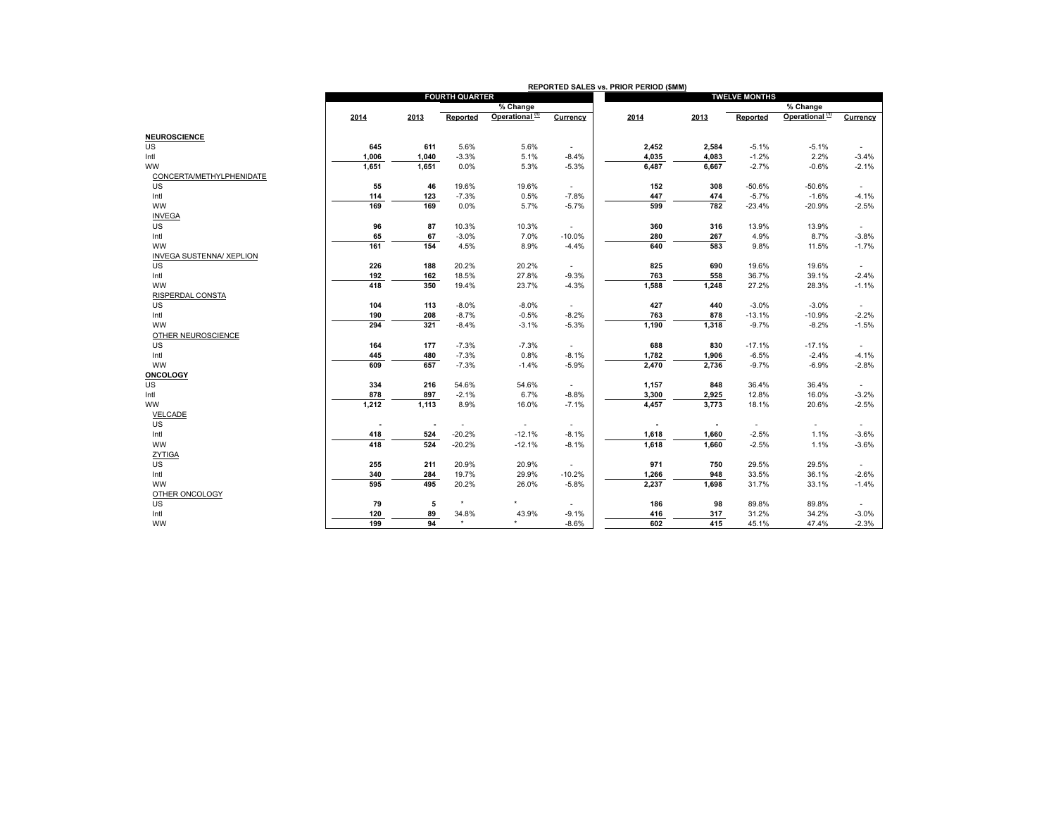|                                              | REPORTED SALES vs. PRIOR PERIOD (\$MM) |                                 |                       |                            |                                     |                      |                          |                     |                            |                                     |  |  |
|----------------------------------------------|----------------------------------------|---------------------------------|-----------------------|----------------------------|-------------------------------------|----------------------|--------------------------|---------------------|----------------------------|-------------------------------------|--|--|
|                                              |                                        |                                 | <b>FOURTH QUARTER</b> |                            |                                     | <b>TWELVE MONTHS</b> |                          |                     |                            |                                     |  |  |
|                                              |                                        |                                 |                       | % Change                   |                                     |                      |                          |                     | % Change                   |                                     |  |  |
|                                              | 2014                                   | 2013                            | Reported              | Operational <sup>(1)</sup> | Currency                            | 2014                 | 2013                     | Reported            | Operational <sup>(1)</sup> | Currency                            |  |  |
|                                              |                                        |                                 |                       |                            |                                     |                      |                          |                     |                            |                                     |  |  |
| <b>NEUROSCIENCE</b>                          |                                        |                                 |                       |                            |                                     |                      |                          |                     |                            |                                     |  |  |
| <b>US</b>                                    | 645                                    | 611                             | 5.6%                  | 5.6%                       | $\sim$                              | 2,452                | 2,584                    | $-5.1%$             | $-5.1%$                    |                                     |  |  |
| Intl                                         | 1,006                                  | 1,040                           | $-3.3%$               | 5.1%                       | $-8.4%$                             | 4,035                | 4,083                    | $-1.2%$             | 2.2%                       | $-3.4%$                             |  |  |
| <b>WW</b>                                    | 1,651                                  | 1,651                           | 0.0%                  | 5.3%                       | $-5.3%$                             | 6,487                | 6,667                    | $-2.7%$             | $-0.6%$                    | $-2.1%$                             |  |  |
| CONCERTA/METHYLPHENIDATE<br><b>US</b>        | 55                                     |                                 | 19.6%                 |                            |                                     |                      | 308                      | $-50.6%$            |                            |                                     |  |  |
| Intl                                         | 114                                    | 46<br>123                       | $-7.3%$               | 19.6%<br>0.5%              | $\sim$<br>$-7.8%$                   | 152                  | 474                      | $-5.7%$             | $-50.6%$<br>$-1.6%$        | $\overline{\phantom{a}}$<br>$-4.1%$ |  |  |
| <b>WW</b>                                    | 169                                    | 169                             |                       |                            |                                     | 447<br>599           | 782                      |                     |                            | $-2.5%$                             |  |  |
|                                              |                                        |                                 | 0.0%                  | 5.7%                       | $-5.7%$                             |                      |                          | $-23.4%$            | $-20.9%$                   |                                     |  |  |
| <b>INVEGA</b><br>US                          |                                        |                                 |                       |                            |                                     |                      |                          |                     |                            |                                     |  |  |
|                                              | 96                                     | 87                              | 10.3%                 | 10.3%                      | $\overline{\phantom{a}}$            | 360                  | 316                      | 13.9%               | 13.9%                      | $\sim$                              |  |  |
| Intl<br><b>WW</b>                            | 65<br>161                              | 67<br>154                       | $-3.0%$<br>4.5%       | 7.0%<br>8.9%               | $-10.0%$<br>$-4.4%$                 | 280<br>640           | 267<br>583               | 4.9%<br>9.8%        | 8.7%                       | $-3.8%$<br>$-1.7%$                  |  |  |
|                                              |                                        |                                 |                       |                            |                                     |                      |                          |                     | 11.5%                      |                                     |  |  |
| <b>INVEGA SUSTENNA/ XEPLION</b><br><b>US</b> |                                        |                                 |                       |                            |                                     |                      |                          |                     |                            |                                     |  |  |
|                                              | 226                                    | 188                             | 20.2%                 | 20.2%                      | $\sim$                              | 825                  | 690                      | 19.6%               | 19.6%                      | $\overline{\phantom{a}}$            |  |  |
| Intl                                         | 192                                    | 162                             | 18.5%                 | 27.8%                      | $-9.3%$                             | 763                  | 558                      | 36.7%               | 39.1%                      | $-2.4%$                             |  |  |
| ww                                           | 418                                    | 350                             | 19.4%                 | 23.7%                      | $-4.3%$                             | 1,588                | 1,248                    | 27.2%               | 28.3%                      | $-1.1%$                             |  |  |
| RISPERDAL CONSTA<br>US                       | 104                                    |                                 |                       |                            |                                     | 427                  |                          | $-3.0%$             |                            |                                     |  |  |
|                                              |                                        | 113                             | $-8.0%$               | $-8.0%$                    | $\sim$                              |                      | 440                      |                     | $-3.0%$                    | $\sim$                              |  |  |
| Intl                                         | 190<br>294                             | 208<br>321                      | $-8.7%$               | $-0.5%$                    | $-8.2%$                             | 763<br>1,190         | 878<br>1,318             | $-13.1%$<br>$-9.7%$ | $-10.9%$                   | $-2.2%$<br>$-1.5%$                  |  |  |
| <b>WW</b>                                    |                                        |                                 | $-8.4%$               | $-3.1%$                    | $-5.3%$                             |                      |                          |                     | $-8.2%$                    |                                     |  |  |
| OTHER NEUROSCIENCE                           |                                        |                                 |                       |                            |                                     |                      |                          |                     |                            |                                     |  |  |
| <b>US</b>                                    | 164                                    | 177                             | $-7.3%$               | $-7.3%$                    | $\sim$                              | 688                  | 830                      | $-17.1%$            | $-17.1%$                   | $\overline{\phantom{a}}$            |  |  |
| Intl<br><b>WW</b>                            | 445<br>609                             | 480                             | $-7.3%$               | 0.8%                       | $-8.1%$                             | 1,782                | 1,906                    | $-6.5%$             | $-2.4%$                    | $-4.1%$                             |  |  |
|                                              |                                        | 657                             | $-7.3%$               | $-1.4%$                    | $-5.9%$                             | 2,470                | 2,736                    | $-9.7%$             | $-6.9%$                    | $-2.8%$                             |  |  |
| <b>ONCOLOGY</b>                              |                                        |                                 |                       |                            |                                     |                      |                          |                     |                            |                                     |  |  |
| US                                           | 334                                    | 216                             | 54.6%                 | 54.6%                      | $\sim$                              | 1,157                | 848                      | 36.4%               | 36.4%                      | ٠                                   |  |  |
| Intl                                         | 878                                    | 897                             | $-2.1%$               | 6.7%                       | $-8.8%$                             | 3,300                | 2,925                    | 12.8%               | 16.0%                      | $-3.2%$                             |  |  |
| <b>WW</b>                                    | 1,212                                  | 1,113                           | 8.9%                  | 16.0%                      | $-7.1%$                             | 4,457                | 3,773                    | 18.1%               | 20.6%                      | $-2.5%$                             |  |  |
| VELCADE                                      |                                        |                                 |                       |                            |                                     |                      |                          |                     |                            |                                     |  |  |
| <b>US</b>                                    | $\overline{\phantom{a}}$               | $\overline{\phantom{a}}$<br>524 |                       | $\overline{\phantom{a}}$   | $\overline{\phantom{a}}$<br>$-8.1%$ |                      | $\overline{\phantom{a}}$ | $-2.5%$             | ٠                          | ٠<br>$-3.6%$                        |  |  |
| Intl                                         | 418                                    |                                 | $-20.2%$              | $-12.1%$                   |                                     | 1,618                | 1,660                    |                     | 1.1%                       |                                     |  |  |
| ww                                           | 418                                    | 524                             | $-20.2%$              | $-12.1%$                   | $-8.1%$                             | 1,618                | 1,660                    | $-2.5%$             | 1.1%                       | $-3.6%$                             |  |  |
| ZYTIGA                                       |                                        |                                 |                       |                            |                                     |                      |                          |                     |                            |                                     |  |  |
| US                                           | 255                                    | 211                             | 20.9%                 | 20.9%                      | $\sim$                              | 971                  | 750                      | 29.5%               | 29.5%                      |                                     |  |  |
| Intl                                         | 340                                    | 284                             | 19.7%                 | 29.9%                      | $-10.2%$                            | 1,266                | 948                      | 33.5%               | 36.1%                      | $-2.6%$                             |  |  |
| <b>WW</b>                                    | 595                                    | 495                             | 20.2%                 | 26.0%                      | $-5.8%$                             | 2,237                | 1,698                    | 31.7%               | 33.1%                      | $-1.4%$                             |  |  |
| OTHER ONCOLOGY                               |                                        |                                 | $\star$               |                            |                                     |                      |                          |                     |                            |                                     |  |  |
| <b>US</b>                                    | 79                                     | 5                               |                       |                            | $\sim$                              | 186                  | 98                       | 89.8%               | 89.8%                      | $\overline{\phantom{a}}$            |  |  |
| Intl                                         | 120                                    | 89                              | 34.8%<br>$\star$      | 43.9%                      | $-9.1%$                             | 416                  | 317                      | 31.2%               | 34.2%                      | $-3.0%$                             |  |  |
| <b>WW</b>                                    | 199                                    | 94                              |                       |                            | $-8.6%$                             | 602                  | 415                      | 45.1%               | 47.4%                      | $-2.3%$                             |  |  |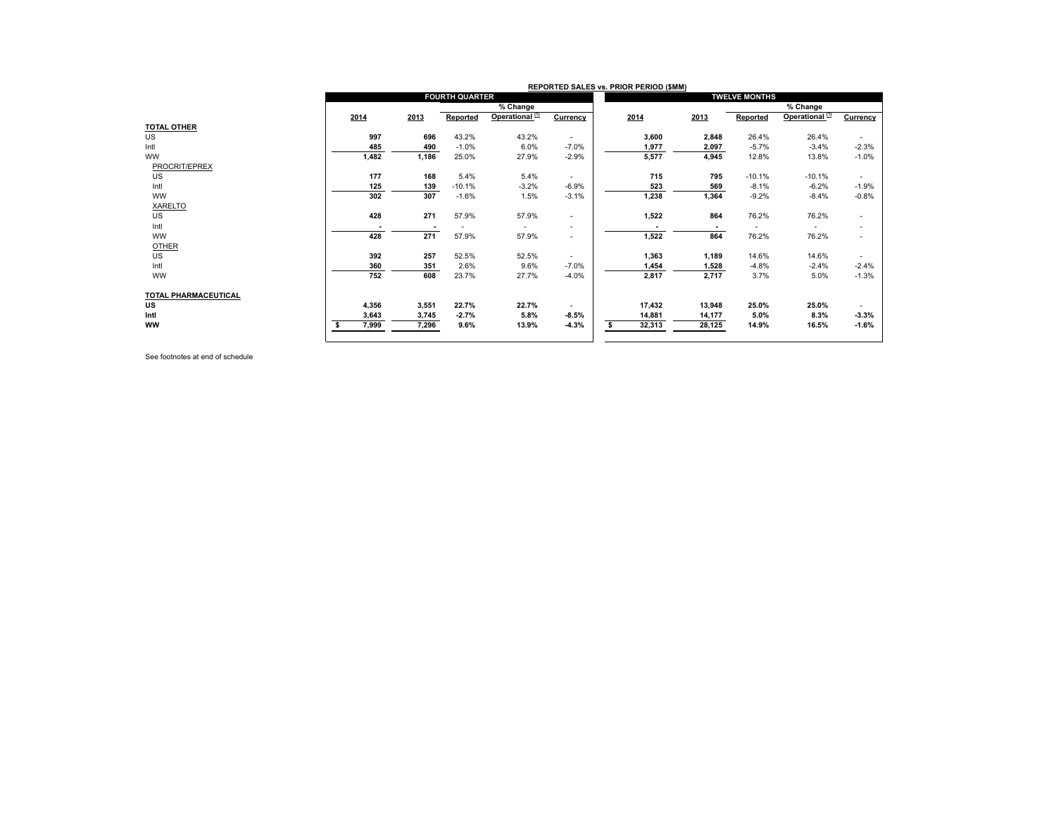|                             | REPORTED SALES vs. PRIOR PERIOD (\$MM) |                          |                       |                            |                          |        |                          |                          |                            |                          |  |  |
|-----------------------------|----------------------------------------|--------------------------|-----------------------|----------------------------|--------------------------|--------|--------------------------|--------------------------|----------------------------|--------------------------|--|--|
|                             |                                        |                          | <b>FOURTH QUARTER</b> |                            |                          |        |                          | <b>TWELVE MONTHS</b>     |                            |                          |  |  |
|                             |                                        |                          |                       | % Change                   |                          |        |                          |                          | % Change                   |                          |  |  |
|                             | 2014                                   | 2013                     | Reported              | Operational <sup>(1)</sup> | Currency                 | 2014   | 2013                     | Reported                 | Operational <sup>(1)</sup> | Currency                 |  |  |
| <b>TOTAL OTHER</b>          |                                        |                          |                       |                            |                          |        |                          |                          |                            |                          |  |  |
| <b>US</b>                   | 997                                    | 696                      | 43.2%                 | 43.2%                      | $\sim$                   | 3,600  | 2,848                    | 26.4%                    | 26.4%                      | $\overline{\phantom{a}}$ |  |  |
| Intl                        | 485                                    | 490                      | $-1.0%$               | 6.0%                       | $-7.0%$                  | 1,977  | 2,097                    | $-5.7%$                  | $-3.4%$                    | $-2.3%$                  |  |  |
| <b>WW</b>                   | 1,482                                  | 1,186                    | 25.0%                 | 27.9%                      | $-2.9%$                  | 5,577  | 4,945                    | 12.8%                    | 13.8%                      | $-1.0%$                  |  |  |
| PROCRIT/EPREX               |                                        |                          |                       |                            |                          |        |                          |                          |                            |                          |  |  |
| <b>US</b>                   | 177                                    | 168                      | 5.4%                  | 5.4%                       | $\sim$                   | 715    | 795                      | $-10.1%$                 | $-10.1%$                   | $\sim$                   |  |  |
| Intl                        | 125                                    | 139                      | $-10.1%$              | $-3.2%$                    | $-6.9%$                  | 523    | 569                      | $-8.1%$                  | $-6.2%$                    | $-1.9%$                  |  |  |
| <b>WW</b>                   | 302                                    | 307                      | $-1.6%$               | 1.5%                       | $-3.1%$                  | 1,238  | 1,364                    | $-9.2%$                  | $-8.4%$                    | $-0.8%$                  |  |  |
| <b>XARELTO</b>              |                                        |                          |                       |                            |                          |        |                          |                          |                            |                          |  |  |
| US                          | 428                                    | 271                      | 57.9%                 | 57.9%                      | $\sim$                   | 1,522  | 864                      | 76.2%                    | 76.2%                      | ٠                        |  |  |
| Intl                        |                                        | $\overline{\phantom{a}}$ |                       | $\overline{\phantom{a}}$   |                          |        | $\overline{\phantom{a}}$ | $\overline{\phantom{a}}$ | $\overline{\phantom{a}}$   | ٠                        |  |  |
| <b>WW</b>                   | 428                                    | 271                      | 57.9%                 | 57.9%                      | $\overline{\phantom{a}}$ | 1,522  | 864                      | 76.2%                    | 76.2%                      |                          |  |  |
| <b>OTHER</b>                |                                        |                          |                       |                            |                          |        |                          |                          |                            |                          |  |  |
| <b>US</b>                   | 392                                    | 257                      | 52.5%                 | 52.5%                      | $\overline{\phantom{a}}$ | 1,363  | 1,189                    | 14.6%                    | 14.6%                      |                          |  |  |
| Intl                        | 360                                    | 351                      | 2.6%                  | 9.6%                       | $-7.0%$                  | 1,454  | 1,528                    | $-4.8%$                  | $-2.4%$                    | $-2.4%$                  |  |  |
| <b>WW</b>                   | 752                                    | 608                      | 23.7%                 | 27.7%                      | $-4.0%$                  | 2,817  | 2,717                    | 3.7%                     | 5.0%                       | $-1.3%$                  |  |  |
|                             |                                        |                          |                       |                            |                          |        |                          |                          |                            |                          |  |  |
| <b>TOTAL PHARMACEUTICAL</b> |                                        |                          |                       |                            |                          |        |                          |                          |                            |                          |  |  |
| US                          | 4,356                                  | 3,551                    | 22.7%                 | 22.7%                      | $\overline{\phantom{a}}$ | 17,432 | 13,948                   | 25.0%                    | 25.0%                      |                          |  |  |
| Intl                        | 3,643                                  | 3,745                    | $-2.7%$               | 5.8%                       | $-8.5%$                  | 14,881 | 14,177                   | 5.0%                     | 8.3%                       | $-3.3%$                  |  |  |
| <b>WW</b>                   | 7,999                                  | 7,296                    | 9.6%                  | 13.9%                      | $-4.3%$                  | 32,313 | 28,125                   | 14.9%                    | 16.5%                      | $-1.6%$                  |  |  |
|                             |                                        |                          |                       |                            |                          |        |                          |                          |                            |                          |  |  |

See footnotes at end of schedule